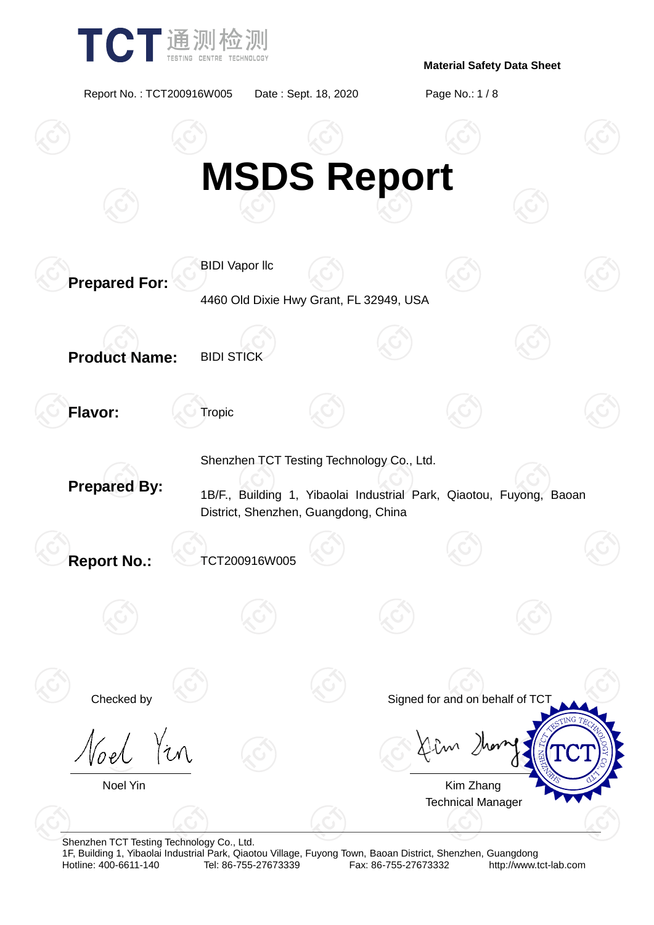

Report No. : TCT200916W005 Date : Sept. 18, 2020 Page No.: 1 / 8



Shenzhen TCT Testing Technology Co., Ltd.

1F, Building 1, Yibaolai Industrial Park, Qiaotou Village, Fuyong Town, Baoan District, Shenzhen, Guangdong Fax: 86-755-27673332 http://www.tct-lab.com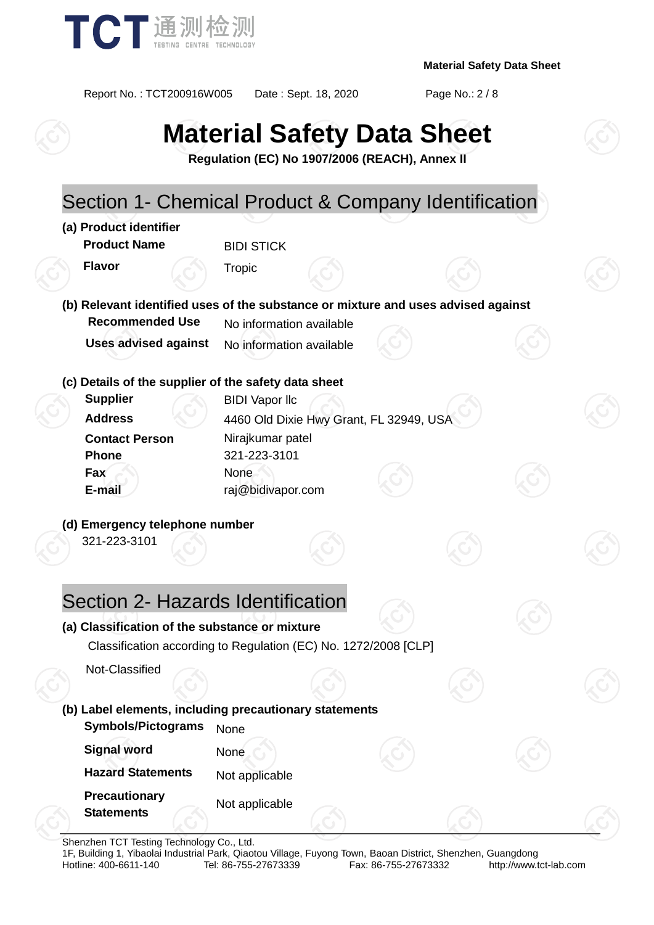

Report No. : TCT200916W005 Date : Sept. 18, 2020 Page No.: 2 / 8

# **Material Safety Data Sheet**

**Regulation (EC) No 1907/2006 (REACH), Annex II**

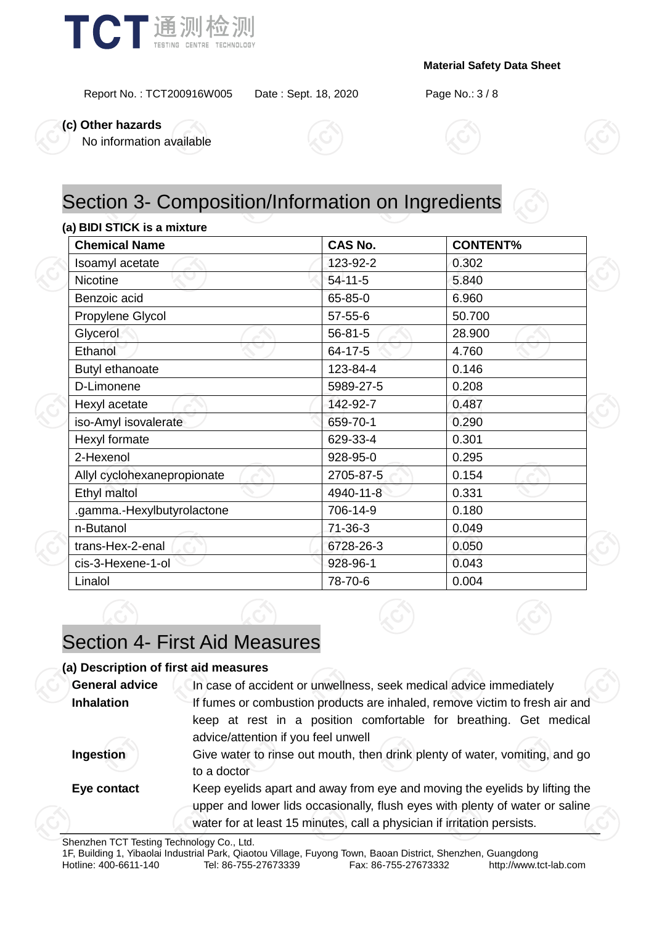

Report No. : TCT200916W005 Date : Sept. 18, 2020 Page No.: 3 / 8

**(c) Other hazards**

No information available



# Section 3- Composition/Information on Ingredients

#### **(a) BIDI STICK is a mixture**

| <b>Chemical Name</b>        | <b>CAS No.</b> | <b>CONTENT%</b> |  |  |
|-----------------------------|----------------|-----------------|--|--|
| Isoamyl acetate             | 123-92-2       | 0.302           |  |  |
| Nicotine                    | 54-11-5        | 5.840           |  |  |
| Benzoic acid                | 65-85-0        | 6.960           |  |  |
| Propylene Glycol            | $57 - 55 - 6$  | 50.700          |  |  |
| Glycerol                    | 56-81-5        | 28.900          |  |  |
| Ethanol                     | 64-17-5        | 4.760           |  |  |
| Butyl ethanoate             | 123-84-4       | 0.146           |  |  |
| D-Limonene                  | 5989-27-5      | 0.208           |  |  |
| Hexyl acetate               | 142-92-7       | 0.487           |  |  |
| iso-Amyl isovalerate        | 659-70-1       | 0.290           |  |  |
| Hexyl formate               | 629-33-4       | 0.301           |  |  |
| 2-Hexenol                   | 928-95-0       | 0.295           |  |  |
| Allyl cyclohexanepropionate | 2705-87-5      | 0.154           |  |  |
| Ethyl maltol                | 4940-11-8      | 0.331           |  |  |
| .gamma.-Hexylbutyrolactone  | 706-14-9       | 0.180           |  |  |
| n-Butanol                   | $71 - 36 - 3$  | 0.049           |  |  |
| trans-Hex-2-enal            | 6728-26-3      | 0.050           |  |  |
| cis-3-Hexene-1-ol           | 928-96-1       | 0.043           |  |  |
| Linalol                     | 78-70-6        | 0.004           |  |  |

### Section 4- First Aid Measures

#### **(a) Description of first aid measures**

| <b>General advice</b> | In case of accident or unwellness, seek medical advice immediately                                                                                                                                                                    |  |  |
|-----------------------|---------------------------------------------------------------------------------------------------------------------------------------------------------------------------------------------------------------------------------------|--|--|
| <b>Inhalation</b>     | If fumes or combustion products are inhaled, remove victim to fresh air and                                                                                                                                                           |  |  |
|                       | keep at rest in a position comfortable for breathing. Get medical<br>advice/attention if you feel unwell                                                                                                                              |  |  |
| Ingestion             | Give water to rinse out mouth, then drink plenty of water, vomiting, and go<br>to a doctor                                                                                                                                            |  |  |
| Eye contact           | Keep eyelids apart and away from eye and moving the eyelids by lifting the<br>upper and lower lids occasionally, flush eyes with plenty of water or saline<br>water for at least 15 minutes, call a physician if irritation persists. |  |  |
|                       |                                                                                                                                                                                                                                       |  |  |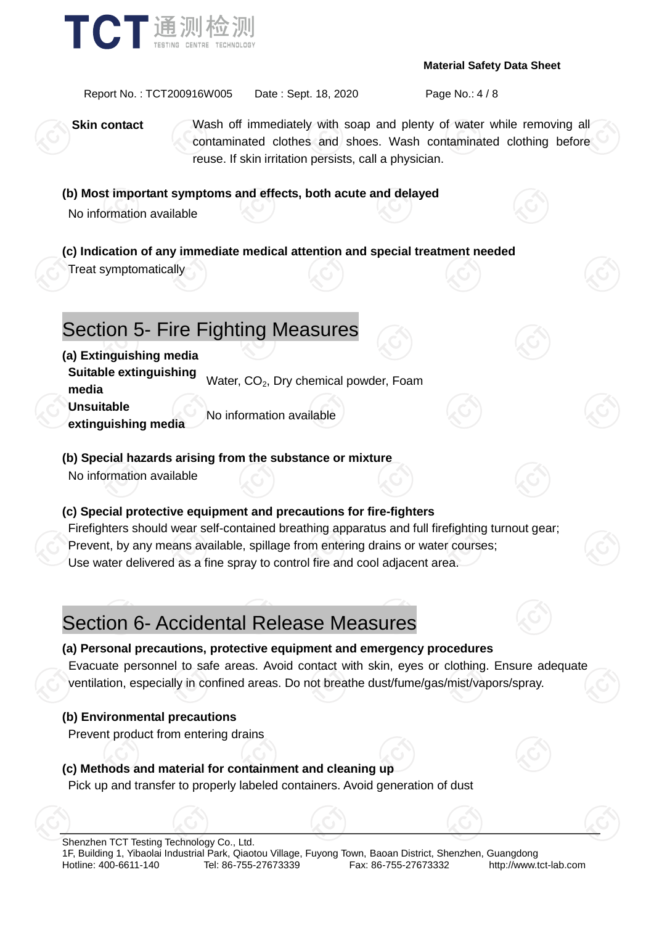

Report No. : TCT200916W005 Date : Sept. 18, 2020 Page No.: 4 / 8

**Skin contact** Wash off immediately with soap and plenty of water while removing all contaminated clothes and shoes. Wash contaminated clothing before reuse. If skin irritation persists, call a physician.

### **(b) Most important symptoms and effects, both acute and delayed**

No information available

**(c) Indication of any immediate medical attention and special treatment needed**

Treat symptomatically

# Section 5- Fire Fighting Measures

**(a) Extinguishing media**

**Suitable extinguishing media** Water, CO<sub>2</sub>, Dry chemical powder, Foam

**Unsuitable** 

**extinguishing media** No information available

### **(b) Special hazards arising from the substance or mixture**

No information available

### **(c) Special protective equipment and precautions for fire-fighters**

Firefighters should wear self-contained breathing apparatus and full firefighting turnout gear; Prevent, by any means available, spillage from entering drains or water courses; Use water delivered as a fine spray to control fire and cool adjacent area.

# Section 6- Accidental Release Measures



**(a) Personal precautions, protective equipment and emergency procedures** Evacuate personnel to safe areas. Avoid contact with skin, eyes or clothing. Ensure adequate ventilation, especially in confined areas. Do not breathe dust/fume/gas/mist/vapors/spray.

### **(b) Environmental precautions**

Prevent product from entering drains

### **(c) Methods and material for containment and cleaning up**

Pick up and transfer to properly labeled containers. Avoid generation of dust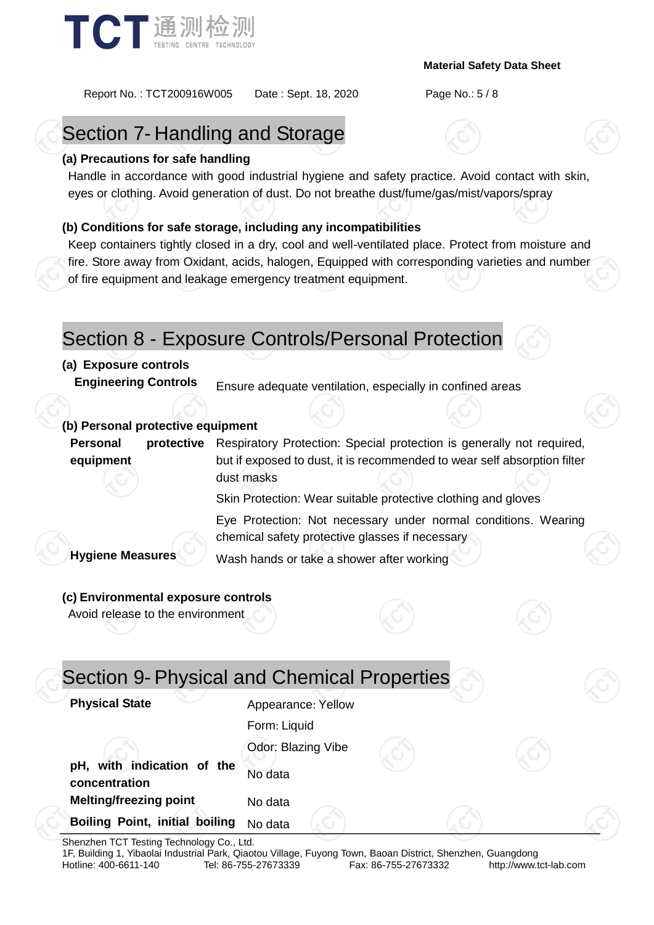

Report No. : TCT200916W005 Date : Sept. 18, 2020 Page No.: 5 / 8

# Section 7- Handling and Storage

### **(a) Precautions for safe handling**

Handle in accordance with good industrial hygiene and safety practice. Avoid contact with skin, eyes or clothing. Avoid generation of dust. Do not breathe dust/fume/gas/mist/vapors/spray

### **(b) Conditions for safe storage, including any incompatibilities**

Keep containers tightly closed in a dry, cool and well-ventilated place. Protect from moisture and fire. Store away from Oxidant, acids, halogen, Equipped with corresponding varieties and number of fire equipment and leakage emergency treatment equipment.

### Section 8 - Exposure Controls/Personal Protection

### **(a) Exposure controls**

**Engineering Controls** Ensure adequate ventilation, especially in confined areas

### **(b) Personal protective equipment**

**Personal protective equipment** Respiratory Protection: Special protection is generally not required, but if exposed to dust, it is recommended to wear self absorption filter dust masks

Skin Protection: Wear suitable protective clothing and gloves

Eye Protection: Not necessary under normal conditions. Wearing chemical safety protective glasses if necessary

**Hygiene Measures** Wash hands or take a shower after working

#### **(c) Environmental exposure controls**

Avoid release to the environment

| Section 9- Physical and Chemical Properties |                    |  |  |
|---------------------------------------------|--------------------|--|--|
| <b>Physical State</b>                       | Appearance: Yellow |  |  |
|                                             | Form: Liquid       |  |  |
|                                             | Odor: Blazing Vibe |  |  |
| pH, with indication of the<br>concentration | No data            |  |  |
| <b>Melting/freezing point</b>               | No data            |  |  |
| Boiling Point, initial boiling              | No data            |  |  |

Shenzhen TCT Testing Technology Co., Ltd.

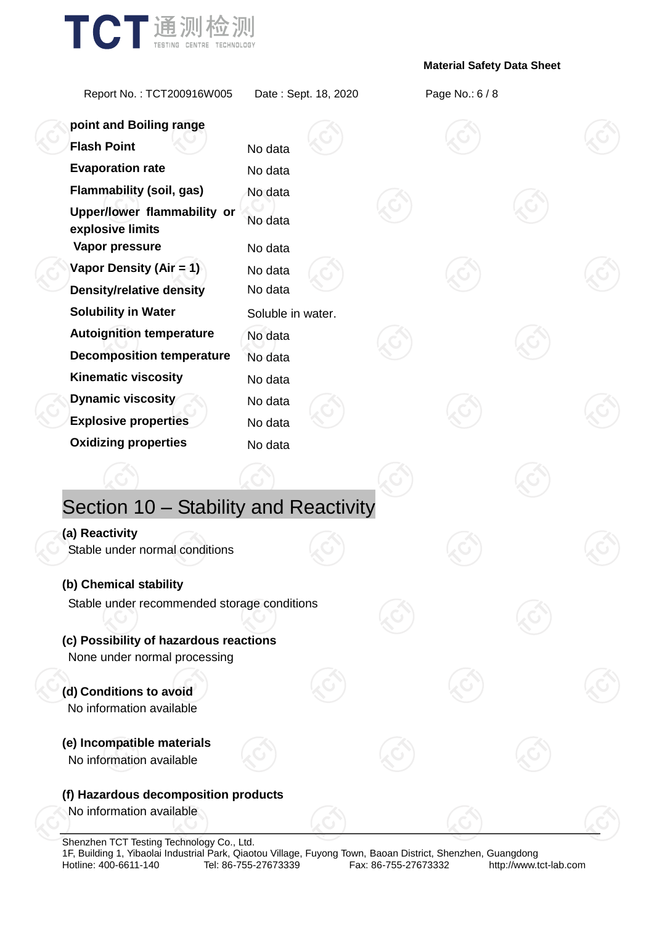

Report No. : TCT200916W005 Date : Sept. 18, 2020 Page No.: 6 / 8

| point and Boiling range                                           |                    |  |  |  |
|-------------------------------------------------------------------|--------------------|--|--|--|
| <b>Flash Point</b>                                                | No data            |  |  |  |
| <b>Evaporation rate</b>                                           | No data            |  |  |  |
| <b>Flammability (soil, gas)</b>                                   | No data            |  |  |  |
| Upper/lower flammability or<br>explosive limits<br>Vapor pressure | No data<br>No data |  |  |  |
| Vapor Density (Air = 1)                                           | No data            |  |  |  |
| <b>Density/relative density</b>                                   | No data            |  |  |  |
| <b>Solubility in Water</b>                                        | Soluble in water.  |  |  |  |
| <b>Autoignition temperature</b>                                   | No data            |  |  |  |
| <b>Decomposition temperature</b>                                  | No data            |  |  |  |
| <b>Kinematic viscosity</b>                                        | No data            |  |  |  |
| Dynamic viscosity                                                 | No data            |  |  |  |
| <b>Explosive properties</b>                                       | No data            |  |  |  |
| <b>Oxidizing properties</b>                                       | No data            |  |  |  |
|                                                                   |                    |  |  |  |
| Section 10 - Stability and Reactivity                             |                    |  |  |  |
| (a) Reactivity                                                    |                    |  |  |  |
| Stable under normal conditions                                    |                    |  |  |  |
| (b) Chemical stability                                            |                    |  |  |  |
| Stable under recommended storage conditions                       |                    |  |  |  |
| (c) Possibility of hazardous reactions                            |                    |  |  |  |
| None under normal processing                                      |                    |  |  |  |
|                                                                   |                    |  |  |  |
| (d) Conditions to avoid<br>No information available               |                    |  |  |  |
| (e) Incompatible materials                                        |                    |  |  |  |
| No information available                                          |                    |  |  |  |
| (f) Hazardous decomposition products                              |                    |  |  |  |
| No information available                                          |                    |  |  |  |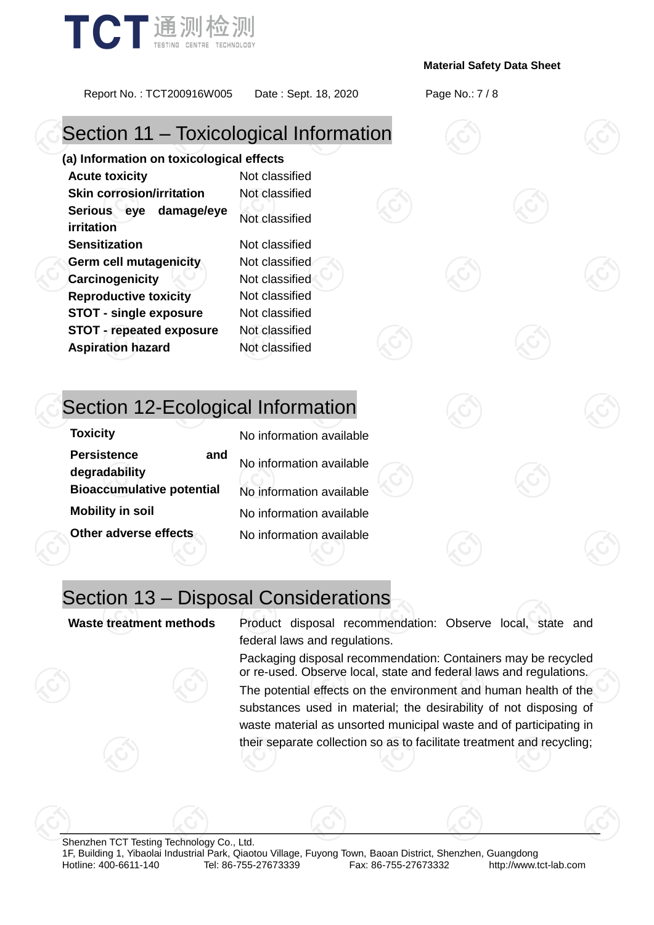

Report No. : TCT200916W005 Date : Sept. 18, 2020 Page No.: 7 / 8

# Section 11 – Toxicological Information

**(a) Information on toxicological effects Acute toxicity** Not classified **Skin corrosion/irritation** Not classified **Serious eye damage/eye irritation** Not classified **Sensitization** Not classified **Germ cell mutagenicity** Not classified **Carcinogenicity Not classified Reproductive toxicity** Not classified **STOT - single exposure** Not classified **STOT - repeated exposure** Not classified **Aspiration hazard** Not classified

# Section 12-Ecological Information

| No information available |
|--------------------------|
| No information available |
| No information available |
| No information available |
| No information available |
|                          |

# Section 13 – Disposal Considerations

**Waste treatment methods** Product disposal recommendation: Observe local, state and federal laws and regulations.

> Packaging disposal recommendation: Containers may be recycled or re-used. Observe local, state and federal laws and regulations.

> The potential effects on the environment and human health of the substances used in material; the desirability of not disposing of waste material as unsorted municipal waste and of participating in their separate collection so as to facilitate treatment and recycling;

Shenzhen TCT Testing Technology Co., Ltd. 1F, Building 1, Yibaolai Industrial Park, Qiaotou Village, Fuyong Town, Baoan District, Shenzhen, Guangdong http://www.tct-lab.com